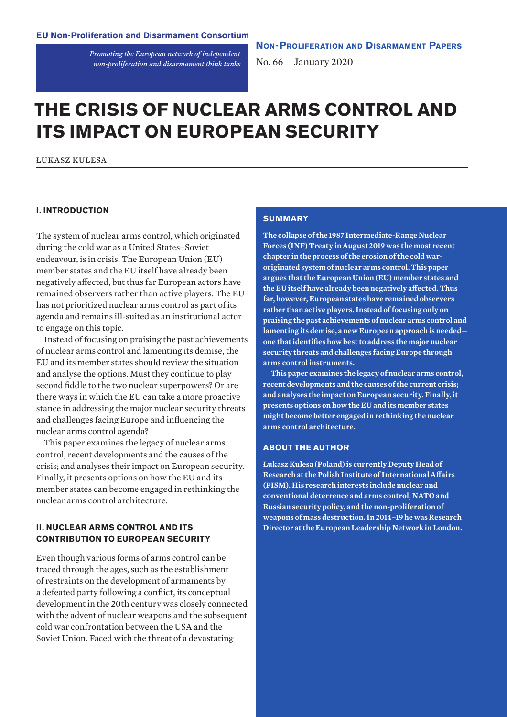*Promoting the European network of independent non-proliferation and disarmament think tanks* **Non-Proliferation and Disarmament Papers**

No. 66 January 2020

# **THE CRISIS OF NUCLEAR ARMS CONTROL AND ITS IMPACT ON EUROPEAN SECURITY**

łukasz kulesa

## **I. INTRODUCTION**

The system of nuclear arms control, which originated during the cold war as a United States–Soviet endeavour, is in crisis. The European Union (EU) member states and the EU itself have already been negatively affected, but thus far European actors have remained observers rather than active players. The EU has not prioritized nuclear arms control as part of its agenda and remains ill-suited as an institutional actor to engage on this topic.

Instead of focusing on praising the past achievements of nuclear arms control and lamenting its demise, the EU and its member states should review the situation and analyse the options. Must they continue to play second fiddle to the two nuclear superpowers? Or are there ways in which the EU can take a more proactive stance in addressing the major nuclear security threats and challenges facing Europe and influencing the nuclear arms control agenda?

This paper examines the legacy of nuclear arms control, recent developments and the causes of the crisis; and analyses their impact on European security. Finally, it presents options on how the EU and its member states can become engaged in rethinking the nuclear arms control architecture.

# **II. NUCLEAR ARMS CONTROL AND ITS CONTRIBUTION TO EUROPEAN SECURITY**

Even though various forms of arms control can be traced through the ages, such as the establishment of restraints on the development of armaments by a defeated party following a conflict, its conceptual development in the 20th century was closely connected with the advent of nuclear weapons and the subsequent cold war confrontation between the USA and the Soviet Union. Faced with the threat of a devastating

## **SUMMARY**

**The collapse of the 1987 Intermediate-Range Nuclear Forces (INF) Treaty in August 2019 was the most recent chapter in the process of the erosion of the cold waroriginated system of nuclear arms control. This paper argues that the European Union (EU) member states and the EU itself have already been negatively affected. Thus far, however, European states have remained observers rather than active players. Instead of focusing only on praising the past achievements of nuclear arms control and lamenting its demise, a new European approach is needed one that identifies how best to address the major nuclear security threats and challenges facing Europe through arms control instruments.** 

**This paper examines the legacy of nuclear arms control, recent developments and the causes of the current crisis; and analyses the impact on European security. Finally, it presents options on how the EU and its member states might become better engaged in rethinking the nuclear arms control architecture.** 

#### **ABOUT THE AUTHOR**

**Łukasz Kulesa (Poland) is currently Deputy Head of Research at the Polish Institute of International Affairs (PISM). His research interests include nuclear and conventional deterrence and arms control, NATO and Russian security policy, and the non-proliferation of weapons of mass destruction. In 2014–19 he was Research Director at the European Leadership Network in London.**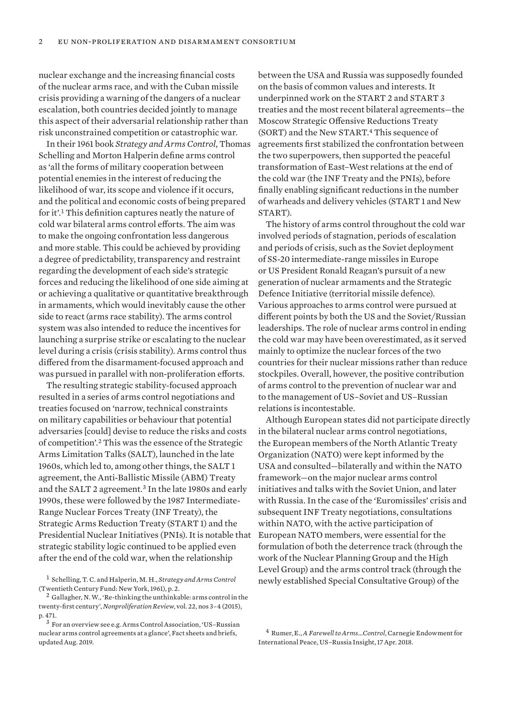nuclear exchange and the increasing financial costs of the nuclear arms race, and with the Cuban missile crisis providing a warning of the dangers of a nuclear escalation, both countries decided jointly to manage this aspect of their adversarial relationship rather than risk unconstrained competition or catastrophic war.

In their 1961 book *Strategy and Arms Control*, Thomas Schelling and Morton Halperin define arms control as 'all the forms of military cooperation between potential enemies in the interest of reducing the likelihood of war, its scope and violence if it occurs, and the political and economic costs of being prepared for it'.<sup>1</sup> This definition captures neatly the nature of cold war bilateral arms control efforts. The aim was to make the ongoing confrontation less dangerous and more stable. This could be achieved by providing a degree of predictability, transparency and restraint regarding the development of each side's strategic forces and reducing the likelihood of one side aiming at or achieving a qualitative or quantitative breakthrough in armaments, which would inevitably cause the other side to react (arms race stability). The arms control system was also intended to reduce the incentives for launching a surprise strike or escalating to the nuclear level during a crisis (crisis stability). Arms control thus differed from the disarmament-focused approach and was pursued in parallel with non-proliferation efforts.

The resulting strategic stability-focused approach resulted in a series of arms control negotiations and treaties focused on 'narrow, technical constraints on military capabilities or behaviour that potential adversaries [could] devise to reduce the risks and costs of competition'.<sup>2</sup> This was the essence of the Strategic Arms Limitation Talks (SALT), launched in the late 1960s, which led to, among other things, the SALT 1 agreement, the Anti-Ballistic Missile (ABM) Treaty and the SALT 2 agreement.<sup>3</sup> In the late 1980s and early 1990s, these were followed by the 1987 Intermediate-Range Nuclear Forces Treaty (INF Treaty), the Strategic Arms Reduction Treaty (START 1) and the Presidential Nuclear Initiatives (PNIs). It is notable that strategic stability logic continued to be applied even after the end of the cold war, when the relationship

between the USA and Russia was supposedly founded on the basis of common values and interests. It underpinned work on the START 2 and START 3 treaties and the most recent bilateral agreements—the Moscow Strategic Offensive Reductions Treaty (SORT) and the New START.<sup>4</sup> This sequence of agreements first stabilized the confrontation between the two superpowers, then supported the peaceful transformation of East–West relations at the end of the cold war (the INF Treaty and the PNIs), before finally enabling significant reductions in the number of warheads and delivery vehicles (START 1 and New START).

The history of arms control throughout the cold war involved periods of stagnation, periods of escalation and periods of crisis, such as the Soviet deployment of SS-20 intermediate-range missiles in Europe or US President Ronald Reagan's pursuit of a new generation of nuclear armaments and the Strategic Defence Initiative (territorial missile defence). Various approaches to arms control were pursued at different points by both the US and the Soviet/Russian leaderships. The role of nuclear arms control in ending the cold war may have been overestimated, as it served mainly to optimize the nuclear forces of the two countries for their nuclear missions rather than reduce stockpiles. Overall, however, the positive contribution of arms control to the prevention of nuclear war and to the management of US–Soviet and US–Russian relations is incontestable.

Although European states did not participate directly in the bilateral nuclear arms control negotiations, the European members of the North Atlantic Treaty Organization (NATO) were kept informed by the USA and consulted—bilaterally and within the NATO framework—on the major nuclear arms control initiatives and talks with the Soviet Union, and later with Russia. In the case of the 'Euromissiles' crisis and subsequent INF Treaty negotiations, consultations within NATO, with the active participation of European NATO members, were essential for the formulation of both the deterrence track (through the work of the Nuclear Planning Group and the High Level Group) and the arms control track (through the newly established Special Consultative Group) of the

<sup>1</sup> Schelling, T. C. and Halperin, M. H., *Strategy and Arms Control*  (Twentieth Century Fund: New York, 1961), p. 2.

 $2$  Gallagher, N.W., 'Re-thinking the unthinkable: arms control in the twenty-first century', *Nonproliferation Review*, vol. 22, nos 3–4 (2015), p. 471.

<sup>3</sup> For an overview see e.g. Arms Control Association, '[US–Russian](https://www.armscontrol.org/factsheets/USRussiaNuclearAgreements) [nuclear arms control agreements at a glance](https://www.armscontrol.org/factsheets/USRussiaNuclearAgreements)', Fact sheets and briefs, updated Aug. 2019.

<sup>4</sup> Rumer, E., *[A Farewell to Arms…Control](https://carnegieendowment.org/2018/04/17/farewell-to-arms-.-.-.-control-pub-76088)*, Carnegie Endowment for International Peace, US–Russia Insight, 17 Apr. 2018.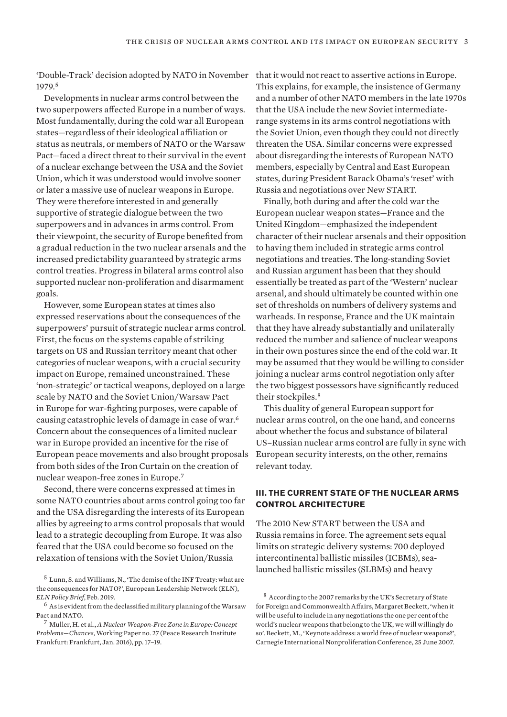'Double-Track' decision adopted by NATO in November that it would not react to assertive actions in Europe. 1979.<sup>5</sup>

Developments in nuclear arms control between the two superpowers affected Europe in a number of ways. Most fundamentally, during the cold war all European states—regardless of their ideological affiliation or status as neutrals, or members of NATO or the Warsaw Pact—faced a direct threat to their survival in the event of a nuclear exchange between the USA and the Soviet Union, which it was understood would involve sooner or later a massive use of nuclear weapons in Europe. They were therefore interested in and generally supportive of strategic dialogue between the two superpowers and in advances in arms control. From their viewpoint, the security of Europe benefited from a gradual reduction in the two nuclear arsenals and the increased predictability guaranteed by strategic arms control treaties. Progress in bilateral arms control also supported nuclear non-proliferation and disarmament goals.

However, some European states at times also expressed reservations about the consequences of the superpowers' pursuit of strategic nuclear arms control. First, the focus on the systems capable of striking targets on US and Russian territory meant that other categories of nuclear weapons, with a crucial security impact on Europe, remained unconstrained. These 'non-strategic' or tactical weapons, deployed on a large scale by NATO and the Soviet Union/Warsaw Pact in Europe for war-fighting purposes, were capable of causing catastrophic levels of damage in case of war.<sup>6</sup> Concern about the consequences of a limited nuclear war in Europe provided an incentive for the rise of European peace movements and also brought proposals from both sides of the Iron Curtain on the creation of nuclear weapon-free zones in Europe.<sup>7</sup>

Second, there were concerns expressed at times in some NATO countries about arms control going too far and the USA disregarding the interests of its European allies by agreeing to arms control proposals that would lead to a strategic decoupling from Europe. It was also feared that the USA could become so focused on the relaxation of tensions with the Soviet Union/Russia

This explains, for example, the insistence of Germany and a number of other NATO members in the late 1970s that the USA include the new Soviet intermediaterange systems in its arms control negotiations with the Soviet Union, even though they could not directly threaten the USA. Similar concerns were expressed about disregarding the interests of European NATO members, especially by Central and East European states, during President Barack Obama's 'reset' with Russia and negotiations over New START.

Finally, both during and after the cold war the European nuclear weapon states—France and the United Kingdom—emphasized the independent character of their nuclear arsenals and their opposition to having them included in strategic arms control negotiations and treaties. The long-standing Soviet and Russian argument has been that they should essentially be treated as part of the 'Western' nuclear arsenal, and should ultimately be counted within one set of thresholds on numbers of delivery systems and warheads. In response, France and the UK maintain that they have already substantially and unilaterally reduced the number and salience of nuclear weapons in their own postures since the end of the cold war. It may be assumed that they would be willing to consider joining a nuclear arms control negotiation only after the two biggest possessors have significantly reduced their stockpiles.<sup>8</sup>

This duality of general European support for nuclear arms control, on the one hand, and concerns about whether the focus and substance of bilateral US–Russian nuclear arms control are fully in sync with European security interests, on the other, remains relevant today.

# **III. THE CURRENT STATE OF THE NUCLEAR ARMS CONTROL ARCHITECTURE**

The 2010 New START between the USA and Russia remains in force. The agreement sets equal limits on strategic delivery systems: 700 deployed intercontinental ballistic missiles (ICBMs), sealaunched ballistic missiles (SLBMs) and heavy

<sup>5</sup> Lunn, S. and Williams, N., '[The demise of the INF Treaty: what are](https://www.europeanleadershipnetwork.org/wp-content/uploads/2019/02/05022018-ELN-Policy-Brief-Feb-2019-v2.pdf)  [the consequences for NATO?'](https://www.europeanleadershipnetwork.org/wp-content/uploads/2019/02/05022018-ELN-Policy-Brief-Feb-2019-v2.pdf), European Leadership Network (ELN), *ELN Policy Brief*, Feb. 2019.

 $^6\,$  As is evident from the declassified military planning of the Warsaw Pact and NATO.

<sup>7</sup> Muller, H. et al., *[A Nuclear Weapon-Free Zone in Europe: Concept—](https://www.files.ethz.ch/isn/195869/PRIF_WP_26.pdf) [Problems—Chances](https://www.files.ethz.ch/isn/195869/PRIF_WP_26.pdf)*, Working Paper no. 27 (Peace Research Institute Frankfurt: Frankfurt, Jan. 2016), pp. 17–19.

<sup>&</sup>lt;sup>8</sup> According to the 2007 remarks by the UK's Secretary of State for Foreign and Commonwealth Affairs, Margaret Beckett, 'when it will be useful to include in any negotiations the one per cent of the world's nuclear weapons that belong to the UK, we will willingly do so'. Beckett, M., '[Keynote address: a world free of nuclear weapons?'](https://carnegieendowment.org/events/?fa=eventDetail&id=1004), Carnegie International Nonproliferation Conference, 25 June 2007.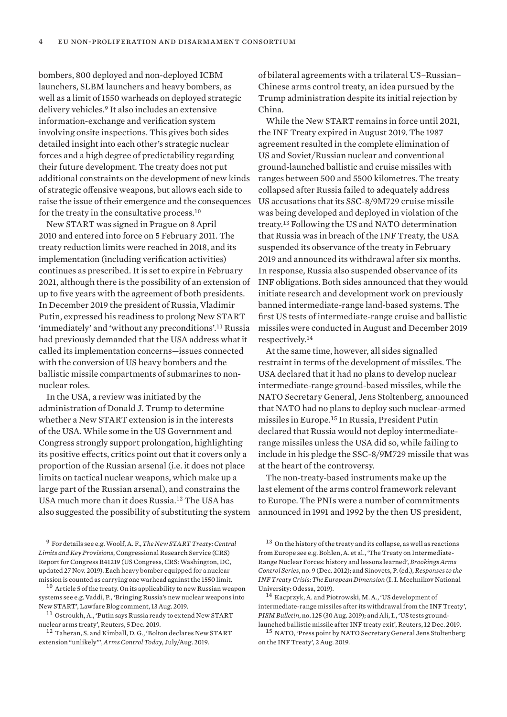bombers, 800 deployed and non-deployed ICBM launchers, SLBM launchers and heavy bombers, as well as a limit of 1550 warheads on deployed strategic delivery vehicles.<sup>9</sup> It also includes an extensive information-exchange and verification system involving onsite inspections. This gives both sides detailed insight into each other's strategic nuclear forces and a high degree of predictability regarding their future development. The treaty does not put additional constraints on the development of new kinds of strategic offensive weapons, but allows each side to raise the issue of their emergence and the consequences for the treaty in the consultative process.<sup>10</sup>

New START was signed in Prague on 8 April 2010 and entered into force on 5 February 2011. The treaty reduction limits were reached in 2018, and its implementation (including verification activities) continues as prescribed. It is set to expire in February 2021, although there is the possibility of an extension of up to five years with the agreement of both presidents. In December 2019 the president of Russia, Vladimir Putin, expressed his readiness to prolong New START 'immediately' and 'without any preconditions'.<sup>11</sup> Russia had previously demanded that the USA address what it called its implementation concerns—issues connected with the conversion of US heavy bombers and the ballistic missile compartments of submarines to nonnuclear roles.

In the USA, a review was initiated by the administration of Donald J. Trump to determine whether a New START extension is in the interests of the USA. While some in the US Government and Congress strongly support prolongation, highlighting its positive effects, critics point out that it covers only a proportion of the Russian arsenal (i.e. it does not place limits on tactical nuclear weapons, which make up a large part of the Russian arsenal), and constrains the USA much more than it does Russia.<sup>12</sup> The USA has also suggested the possibility of substituting the system

<sup>9</sup> For details see e.g. Woolf, A. F., *[The New START Treaty: Central](https://fas.org/sgp/crs/nuke/R41219.pdf)  [Limits and Key Provisions](https://fas.org/sgp/crs/nuke/R41219.pdf)*, Congressional Research Service (CRS) Report for Congress R41219 (US Congress, CRS: Washington, DC, updated 27 Nov. 2019). Each heavy bomber equipped for a nuclear mission is counted as carrying one warhead against the 1550 limit.

<sup>10</sup> Article 5 of the treaty. On its applicability to new Russian weapon systems see e.g. Vaddi, P., ['Bringing Russia's new nuclear weapons into](https://www.lawfareblog.com/bringing-russias-new-nuclear-weapons-new-start)  [New START](https://www.lawfareblog.com/bringing-russias-new-nuclear-weapons-new-start)', Lawfare Blog comment, 13 Aug. 2019.

 $^{11}$  Ostroukh, A., 'Putin says Russia ready to extend New START [nuclear arms treaty'](https://www.reuters.com/article/us-russia-usa-missiles/putin-says-russia-ready-to-extend-new-start-nuclear-arms-treaty-idUSKBN1Y923K), Reuters, 5 Dec. 2019.

<sup>12</sup> Taheran, S. and Kimball, D. G., '[Bolton declares New START](https://www.armscontrol.org/act/2019-07/news/bolton-declares-new-start-extension-unlikely)  [extension "unlikely"](https://www.armscontrol.org/act/2019-07/news/bolton-declares-new-start-extension-unlikely)', *Arms Control Today*, July/Aug. 2019.

of bilateral agreements with a trilateral US–Russian– Chinese arms control treaty, an idea pursued by the Trump administration despite its initial rejection by China.

While the New START remains in force until 2021, the INF Treaty expired in August 2019. The 1987 agreement resulted in the complete elimination of US and Soviet/Russian nuclear and conventional ground-launched ballistic and cruise missiles with ranges between 500 and 5500 kilometres. The treaty collapsed after Russia failed to adequately address US accusations that its SSC-8/9M729 cruise missile was being developed and deployed in violation of the treaty.<sup>13</sup> Following the US and NATO determination that Russia was in breach of the INF Treaty, the USA suspended its observance of the treaty in February 2019 and announced its withdrawal after six months. In response, Russia also suspended observance of its INF obligations. Both sides announced that they would initiate research and development work on previously banned intermediate-range land-based systems. The first US tests of intermediate-range cruise and ballistic missiles were conducted in August and December 2019 respectively.<sup>14</sup>

At the same time, however, all sides signalled restraint in terms of the development of missiles. The USA declared that it had no plans to develop nuclear intermediate-range ground-based missiles, while the NATO Secretary General, Jens Stoltenberg, announced that NATO had no plans to deploy such nuclear-armed missiles in Europe.<sup>15</sup> In Russia, President Putin declared that Russia would not deploy intermediaterange missiles unless the USA did so, while failing to include in his pledge the SSC-8/9M729 missile that was at the heart of the controversy.

The non-treaty-based instruments make up the last element of the arms control framework relevant to Europe. The PNIs were a number of commitments announced in 1991 and 1992 by the then US president,

<sup>15</sup> NATO, ['Press point by NATO Secretary General Jens Stoltenberg](https://www.nato.int/cps/en/natohq/opinions_168183.htm)  [on the INF Treaty](https://www.nato.int/cps/en/natohq/opinions_168183.htm)', 2 Aug. 2019.

<sup>13</sup> On the history of the treaty and its collapse, as well as reactions from Europe see e.g. Bohlen, A. et al., '[The Treaty on Intermediate-](https://www.brookings.edu/wp-content/uploads/2016/06/30-arms-control-pifer-paper.pdf)[Range Nuclear Forces: history and lessons learned](https://www.brookings.edu/wp-content/uploads/2016/06/30-arms-control-pifer-paper.pdf)', *Brookings Arms Control Series*, no. 9 (Dec. 2012); and Sinovets, P. (ed.), *[Responses to the](http://odcnp.com.ua/images/pdf/Europe-Responces-to-INF-Crisis.pdf)  [INF Treaty Crisis: The European Dimension](http://odcnp.com.ua/images/pdf/Europe-Responces-to-INF-Crisis.pdf)* (I. I. Mechnikov National University: Odessa, 2019).

<sup>14</sup> Kacprzyk, A. and Piotrowski, M. A., '[US development of](http://www.pism.pl/upload/files/Bulletin%20PISM%20no%20125%20(1371)%2030%20August%202019.pdf)  [intermediate-range missiles after its withdrawal from the INF Treaty](http://www.pism.pl/upload/files/Bulletin%20PISM%20no%20125%20(1371)%2030%20August%202019.pdf)', *PISM Bulletin*, no. 125 (30 Aug. 2019); and Ali, I., '[US tests ground](https://www.reuters.com/article/us-usa-military-russia/u-s-tests-ground-launched-ballistic-missile-after-inf-treaty-exit-idUSKBN1YG287)[launched ballistic missile after INF treaty exit'](https://www.reuters.com/article/us-usa-military-russia/u-s-tests-ground-launched-ballistic-missile-after-inf-treaty-exit-idUSKBN1YG287), Reuters, 12 Dec. 2019.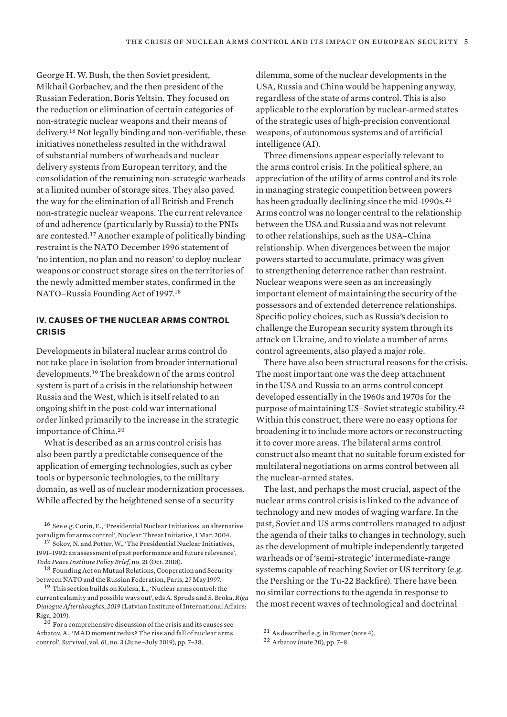George H. W. Bush, the then Soviet president, Mikhail Gorbachev, and the then president of the Russian Federation, Boris Yeltsin. They focused on the reduction or elimination of certain categories of non-strategic nuclear weapons and their means of delivery.<sup>16</sup> Not legally binding and non-verifiable, these initiatives nonetheless resulted in the withdrawal of substantial numbers of warheads and nuclear delivery systems from European territory, and the consolidation of the remaining non-strategic warheads at a limited number of storage sites. They also paved the way for the elimination of all British and French non-strategic nuclear weapons. The current relevance of and adherence (particularly by Russia) to the PNIs are contested.<sup>17</sup> Another example of politically binding restraint is the NATO December 1996 statement of 'no intention, no plan and no reason' to deploy nuclear weapons or construct storage sites on the territories of the newly admitted member states, confirmed in the NATO–Russia Founding Act of 1997.<sup>18</sup>

## **IV. CAUSES OF THE NUCLEAR ARMS CONTROL CRISIS**

Developments in bilateral nuclear arms control do not take place in isolation from broader international developments.<sup>19</sup> The breakdown of the arms control system is part of a crisis in the relationship between Russia and the West, which is itself related to an ongoing shift in the post-cold war international order linked primarily to the increase in the strategic importance of China.<sup>20</sup>

What is described as an arms control crisis has also been partly a predictable consequence of the application of emerging technologies, such as cyber tools or hypersonic technologies, to the military domain, as well as of nuclear modernization processes. While affected by the heightened sense of a security

dilemma, some of the nuclear developments in the USA, Russia and China would be happening anyway, regardless of the state of arms control. This is also applicable to the exploration by nuclear-armed states of the strategic uses of high-precision conventional weapons, of autonomous systems and of artificial intelligence (AI).

Three dimensions appear especially relevant to the arms control crisis. In the political sphere, an appreciation of the utility of arms control and its role in managing strategic competition between powers has been gradually declining since the mid-1990s.<sup>21</sup> Arms control was no longer central to the relationship between the USA and Russia and was not relevant to other relationships, such as the USA–China relationship. When divergences between the major powers started to accumulate, primacy was given to strengthening deterrence rather than restraint. Nuclear weapons were seen as an increasingly important element of maintaining the security of the possessors and of extended deterrence relationships. Specific policy choices, such as Russia's decision to challenge the European security system through its attack on Ukraine, and to violate a number of arms control agreements, also played a major role.

There have also been structural reasons for the crisis. The most important one was the deep attachment in the USA and Russia to an arms control concept developed essentially in the 1960s and 1970s for the purpose of maintaining US–Soviet strategic stability.<sup>22</sup> Within this construct, there were no easy options for broadening it to include more actors or reconstructing it to cover more areas. The bilateral arms control construct also meant that no suitable forum existed for multilateral negotiations on arms control between all the nuclear-armed states.

The last, and perhaps the most crucial, aspect of the nuclear arms control crisis is linked to the advance of technology and new modes of waging warfare. In the past, Soviet and US arms controllers managed to adjust the agenda of their talks to changes in technology, such as the development of multiple independently targeted warheads or of 'semi-strategic' intermediate-range systems capable of reaching Soviet or US territory (e.g. the Pershing or the Tu-22 Backfire). There have been no similar corrections to the agenda in response to the most recent waves of technological and doctrinal

<sup>16</sup> See e.g. Corin, E., '[Presidential Nuclear Initiatives: an alternative](https://www.nti.org/analysis/articles/presidential-nuclear-initiatives/)  [paradigm for arms control'](https://www.nti.org/analysis/articles/presidential-nuclear-initiatives/), Nuclear Threat Initiative, 1 Mar. 2004.

<sup>17</sup> Sokov, N. and Potter, W., '[The Presidential Nuclear Initiatives,](https://toda.org/assets/files/resources/policy-briefs/T-PB-21_Nikolai%20Sokov%20and%20William%20Potter_The%20Presidential%20Nuclear%20Initiatives%201991-92.pdf)  [1991–1992: an assessment of past performance and future relevance'](https://toda.org/assets/files/resources/policy-briefs/T-PB-21_Nikolai%20Sokov%20and%20William%20Potter_The%20Presidential%20Nuclear%20Initiatives%201991-92.pdf), *Toda Peace Institute Policy Brief*, no. 21 (Oct. 2018).

<sup>&</sup>lt;sup>18</sup> Founding Act on Mutual Relations, Cooperation and Security [between NATO and the Russian Federation,](https://www.nato.int/cps/en/natohq/official_texts_25468.htm) Paris, 27 May 1997.

<sup>19</sup> This section builds on Kulesa, Ł., ['Nuclear arms control: the](http://liia.lv/en/publications/riga-dialogue-afterthoughts-2019-managing-crisis-and-ensuring-strategic-stability-in-the-euroatlantic-community-813)  [current calamity and possible ways out](http://liia.lv/en/publications/riga-dialogue-afterthoughts-2019-managing-crisis-and-ensuring-strategic-stability-in-the-euroatlantic-community-813)', eds A. Spruds and S. Broka, *Riga Dialogue Afterthoughts, 2019* (Latvian Institute of International Affairs: Riga, 2019).

 $20$  For a comprehensive discussion of the crisis and its causes see Arbatov, A., 'MAD moment redux? The rise and fall of nuclear arms control', *Survival*, vol. 61, no. 3 (June–July 2019), pp. 7–38.

<sup>21</sup> As described e.g. in Rumer (note 4).

<sup>22</sup> Arbatov (note 20), pp. 7–8.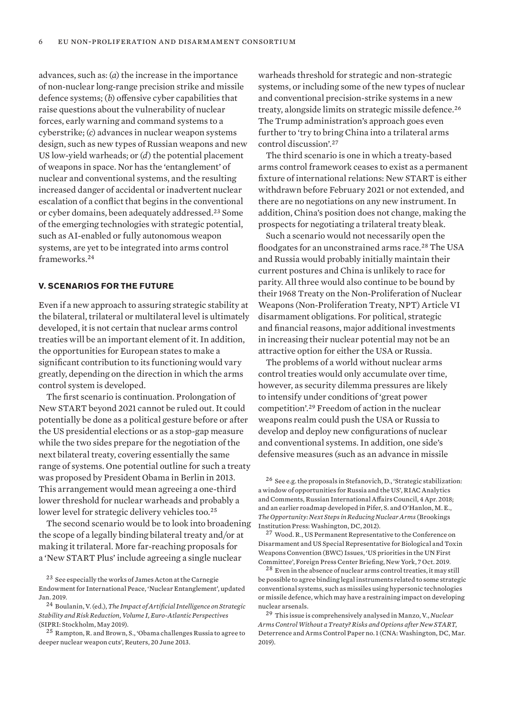advances, such as: (*a*) the increase in the importance of non-nuclear long-range precision strike and missile defence systems; (*b*) offensive cyber capabilities that raise questions about the vulnerability of nuclear forces, early warning and command systems to a cyberstrike; (*c*) advances in nuclear weapon systems design, such as new types of Russian weapons and new US low-yield warheads; or (*d*) the potential placement of weapons in space. Nor has the 'entanglement' of nuclear and conventional systems, and the resulting increased danger of accidental or inadvertent nuclear escalation of a conflict that begins in the conventional or cyber domains, been adequately addressed.<sup>23</sup> Some of the emerging technologies with strategic potential, such as AI-enabled or fully autonomous weapon systems, are yet to be integrated into arms control frameworks.<sup>24</sup>

## **V. SCENARIOS FOR THE FUTURE**

Even if a new approach to assuring strategic stability at the bilateral, trilateral or multilateral level is ultimately developed, it is not certain that nuclear arms control treaties will be an important element of it. In addition, the opportunities for European states to make a significant contribution to its functioning would vary greatly, depending on the direction in which the arms control system is developed.

The first scenario is continuation. Prolongation of New START beyond 2021 cannot be ruled out. It could potentially be done as a political gesture before or after the US presidential elections or as a stop-gap measure while the two sides prepare for the negotiation of the next bilateral treaty, covering essentially the same range of systems. One potential outline for such a treaty was proposed by President Obama in Berlin in 2013. This arrangement would mean agreeing a one-third lower threshold for nuclear warheads and probably a lower level for strategic delivery vehicles too.<sup>25</sup>

The second scenario would be to look into broadening the scope of a legally binding bilateral treaty and/or at making it trilateral. More far-reaching proposals for a 'New START Plus' include agreeing a single nuclear

warheads threshold for strategic and non-strategic systems, or including some of the new types of nuclear and conventional precision-strike systems in a new treaty, alongside limits on strategic missile defence.<sup>26</sup> The Trump administration's approach goes even further to 'try to bring China into a trilateral arms control discussion'.<sup>27</sup>

The third scenario is one in which a treaty-based arms control framework ceases to exist as a permanent fixture of international relations: New START is either withdrawn before February 2021 or not extended, and there are no negotiations on any new instrument. In addition, China's position does not change, making the prospects for negotiating a trilateral treaty bleak.

Such a scenario would not necessarily open the floodgates for an unconstrained arms race.<sup>28</sup> The USA and Russia would probably initially maintain their current postures and China is unlikely to race for parity. All three would also continue to be bound by their 1968 Treaty on the Non-Proliferation of Nuclear Weapons (Non-Proliferation Treaty, NPT) Article VI disarmament obligations. For political, strategic and financial reasons, major additional investments in increasing their nuclear potential may not be an attractive option for either the USA or Russia.

The problems of a world without nuclear arms control treaties would only accumulate over time, however, as security dilemma pressures are likely to intensify under conditions of 'great power competition'.<sup>29</sup> Freedom of action in the nuclear weapons realm could push the USA or Russia to develop and deploy new configurations of nuclear and conventional systems. In addition, one side's defensive measures (such as an advance in missile

<sup>27</sup> Wood. R., US Permanent Representative to the Conference on Disarmament and US Special Representative for Biological and Toxin Weapons Convention (BWC) Issues, '[US priorities in the UN First](https://www.state.gov/u-s-priorities-in-the-un-first-committee/)  [Committee](https://www.state.gov/u-s-priorities-in-the-un-first-committee/)', Foreign Press Center Briefing, New York, 7 Oct. 2019.

<sup>28</sup> Even in the absence of nuclear arms control treaties, it may still be possible to agree binding legal instruments related to some strategic conventional systems, such as missiles using hypersonic technologies or missile defence, which may have a restraining impact on developing nuclear arsenals.

<sup>29</sup> This issue is comprehensively analysed in Manzo, V., *[Nuclear](https://www.cna.org/CNA_files/PDF/IRM-2019-U-019494.pdf)  [Arms Control Without a Treaty? Risks and Options after New START](https://www.cna.org/CNA_files/PDF/IRM-2019-U-019494.pdf)*, Deterrence and Arms Control Paper no. 1 (CNA: Washington, DC, Mar. 2019).

<sup>23</sup> See especially the works of James Acton at the Carnegie Endowment for International Peace, ['Nuclear Entanglement'](https://carnegieendowment.org/programs/npp/nuclear-entanglement), updated Jan. 2019.

<sup>24</sup> Boulanin, V. (ed.), *[The Impact of Artificial Intelligence on Strategic](https://www.sipri.org/sites/default/files/2019-05/sipri1905-ai-strategic-stability-nuclear-risk.pdf)  [Stability and Risk Reduction, Volume I, Euro-Atlantic Perspectives](https://www.sipri.org/sites/default/files/2019-05/sipri1905-ai-strategic-stability-nuclear-risk.pdf)* (SIPRI: Stockholm, May 2019).

<sup>25</sup> Rampton, R. and Brown, S., ['Obama challenges Russia to agree to](https://www.reuters.com/article/us-obama-berlin-nuclear/obama-challenges-russia-to-agree-to-deeper-nuclear-weapon-cuts-idUSBRE95J01K20130620)  [deeper nuclear weapon cuts](https://www.reuters.com/article/us-obama-berlin-nuclear/obama-challenges-russia-to-agree-to-deeper-nuclear-weapon-cuts-idUSBRE95J01K20130620)', Reuters, 20 June 2013.

<sup>26</sup> See e.g. the proposals in Stefanovich, D., '[Strategic stabilization:](https://russiancouncil.ru/en/analytics-and-comments/analytics/strategic-stabilization-a-window-of-opportunities-for-russia-and-the-u-s/)  [a window of opportunities for Russia and the US'](https://russiancouncil.ru/en/analytics-and-comments/analytics/strategic-stabilization-a-window-of-opportunities-for-russia-and-the-u-s/), RIAC Analytics and Comments, Russian International Affairs Council, 4 Apr. 2018; and an earlier roadmap developed in Pifer, S. and O'Hanlon, M. E., *The Opportunity: Next Steps in Reducing Nuclear Arms* (Brookings Institution Press: Washington, DC, 2012).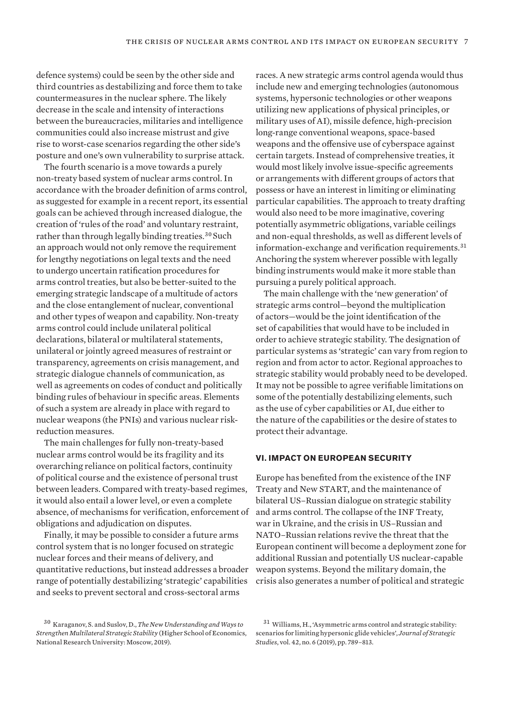defence systems) could be seen by the other side and third countries as destabilizing and force them to take countermeasures in the nuclear sphere. The likely decrease in the scale and intensity of interactions between the bureaucracies, militaries and intelligence communities could also increase mistrust and give rise to worst-case scenarios regarding the other side's posture and one's own vulnerability to surprise attack.

The fourth scenario is a move towards a purely non-treaty based system of nuclear arms control. In accordance with the broader definition of arms control, as suggested for example in a recent report, its essential goals can be achieved through increased dialogue, the creation of 'rules of the road' and voluntary restraint, rather than through legally binding treaties.<sup>30</sup> Such an approach would not only remove the requirement for lengthy negotiations on legal texts and the need to undergo uncertain ratification procedures for arms control treaties, but also be better-suited to the emerging strategic landscape of a multitude of actors and the close entanglement of nuclear, conventional and other types of weapon and capability. Non-treaty arms control could include unilateral political declarations, bilateral or multilateral statements, unilateral or jointly agreed measures of restraint or transparency, agreements on crisis management, and strategic dialogue channels of communication, as well as agreements on codes of conduct and politically binding rules of behaviour in specific areas. Elements of such a system are already in place with regard to nuclear weapons (the PNIs) and various nuclear riskreduction measures.

The main challenges for fully non-treaty-based nuclear arms control would be its fragility and its overarching reliance on political factors, continuity of political course and the existence of personal trust between leaders. Compared with treaty-based regimes, it would also entail a lower level, or even a complete absence, of mechanisms for verification, enforcement of obligations and adjudication on disputes.

Finally, it may be possible to consider a future arms control system that is no longer focused on strategic nuclear forces and their means of delivery, and quantitative reductions, but instead addresses a broader range of potentially destabilizing 'strategic' capabilities and seeks to prevent sectoral and cross-sectoral arms

races. A new strategic arms control agenda would thus include new and emerging technologies (autonomous systems, hypersonic technologies or other weapons utilizing new applications of physical principles, or military uses of AI), missile defence, high-precision long-range conventional weapons, space-based weapons and the offensive use of cyberspace against certain targets. Instead of comprehensive treaties, it would most likely involve issue-specific agreements or arrangements with different groups of actors that possess or have an interest in limiting or eliminating particular capabilities. The approach to treaty drafting would also need to be more imaginative, covering potentially asymmetric obligations, variable ceilings and non-equal thresholds, as well as different levels of information-exchange and verification requirements.<sup>31</sup> Anchoring the system wherever possible with legally binding instruments would make it more stable than pursuing a purely political approach.

The main challenge with the 'new generation' of strategic arms control—beyond the multiplication of actors—would be the joint identification of the set of capabilities that would have to be included in order to achieve strategic stability. The designation of particular systems as 'strategic' can vary from region to region and from actor to actor. Regional approaches to strategic stability would probably need to be developed. It may not be possible to agree verifiable limitations on some of the potentially destabilizing elements, such as the use of cyber capabilities or AI, due either to the nature of the capabilities or the desire of states to protect their advantage.

## **VI. IMPACT ON EUROPEAN SECURITY**

Europe has benefited from the existence of the INF Treaty and New START, and the maintenance of bilateral US–Russian dialogue on strategic stability and arms control. The collapse of the INF Treaty, war in Ukraine, and the crisis in US–Russian and NATO–Russian relations revive the threat that the European continent will become a deployment zone for additional Russian and potentially US nuclear-capable weapon systems. Beyond the military domain, the crisis also generates a number of political and strategic

<sup>30</sup> Karaganov, S. and Suslov, D., *[The New Understanding and Ways to](http://svop.ru/wp-content/uploads/2019/09/REPORT_Eng_1.pdf)  [Strengthen Multilateral Strategic Stability](http://svop.ru/wp-content/uploads/2019/09/REPORT_Eng_1.pdf)* (Higher School of Economics, National Research University: Moscow, 2019).

<sup>31</sup> Williams, H., 'Asymmetric arms control and strategic stability: scenarios for limiting hypersonic glide vehicles', *Journal of Strategic Studies*, vol. 42, no. 6 (2019), pp. 789–813.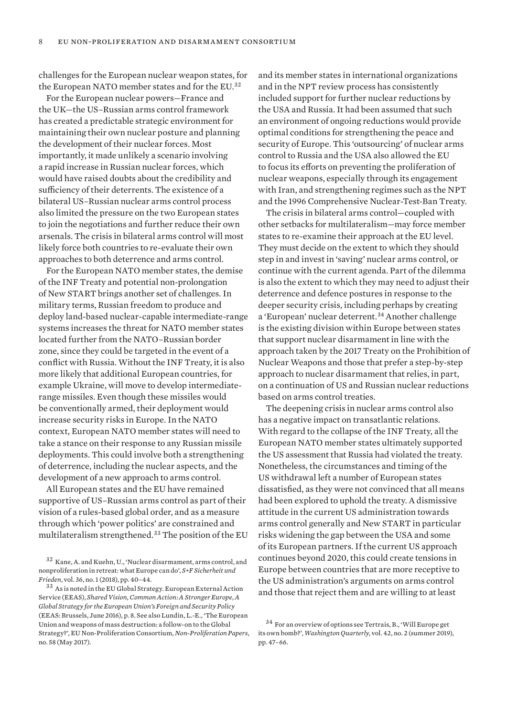challenges for the European nuclear weapon states, for the European NATO member states and for the EU.<sup>32</sup>

For the European nuclear powers—France and the UK—the US–Russian arms control framework has created a predictable strategic environment for maintaining their own nuclear posture and planning the development of their nuclear forces. Most importantly, it made unlikely a scenario involving a rapid increase in Russian nuclear forces, which would have raised doubts about the credibility and sufficiency of their deterrents. The existence of a bilateral US–Russian nuclear arms control process also limited the pressure on the two European states to join the negotiations and further reduce their own arsenals. The crisis in bilateral arms control will most likely force both countries to re-evaluate their own approaches to both deterrence and arms control.

For the European NATO member states, the demise of the INF Treaty and potential non-prolongation of New START brings another set of challenges. In military terms, Russian freedom to produce and deploy land-based nuclear-capable intermediate-range systems increases the threat for NATO member states located further from the NATO–Russian border zone, since they could be targeted in the event of a conflict with Russia. Without the INF Treaty, it is also more likely that additional European countries, for example Ukraine, will move to develop intermediaterange missiles. Even though these missiles would be conventionally armed, their deployment would increase security risks in Europe. In the NATO context, European NATO member states will need to take a stance on their response to any Russian missile deployments. This could involve both a strengthening of deterrence, including the nuclear aspects, and the development of a new approach to arms control.

All European states and the EU have remained supportive of US–Russian arms control as part of their vision of a rules-based global order, and as a measure through which 'power politics' are constrained and multilateralism strengthened.<sup>33</sup> The position of the EU and its member states in international organizations and in the NPT review process has consistently included support for further nuclear reductions by the USA and Russia. It had been assumed that such an environment of ongoing reductions would provide optimal conditions for strengthening the peace and security of Europe. This 'outsourcing' of nuclear arms control to Russia and the USA also allowed the EU to focus its efforts on preventing the proliferation of nuclear weapons, especially through its engagement with Iran, and strengthening regimes such as the NPT and the 1996 Comprehensive Nuclear-Test-Ban Treaty.

The crisis in bilateral arms control—coupled with other setbacks for multilateralism—may force member states to re-examine their approach at the EU level. They must decide on the extent to which they should step in and invest in 'saving' nuclear arms control, or continue with the current agenda. Part of the dilemma is also the extent to which they may need to adjust their deterrence and defence postures in response to the deeper security crisis, including perhaps by creating a 'European' nuclear deterrent.<sup>34</sup> Another challenge is the existing division within Europe between states that support nuclear disarmament in line with the approach taken by the 2017 Treaty on the Prohibition of Nuclear Weapons and those that prefer a step-by-step approach to nuclear disarmament that relies, in part, on a continuation of US and Russian nuclear reductions based on arms control treaties.

The deepening crisis in nuclear arms control also has a negative impact on transatlantic relations. With regard to the collapse of the INF Treaty, all the European NATO member states ultimately supported the US assessment that Russia had violated the treaty. Nonetheless, the circumstances and timing of the US withdrawal left a number of European states dissatisfied, as they were not convinced that all means had been explored to uphold the treaty. A dismissive attitude in the current US administration towards arms control generally and New START in particular risks widening the gap between the USA and some of its European partners. If the current US approach continues beyond 2020, this could create tensions in Europe between countries that are more receptive to the US administration's arguments on arms control and those that reject them and are willing to at least

<sup>32</sup> Kane, A. and Kuehn, U., 'Nuclear disarmament, arms control, and nonproliferation in retreat: what Europe can do', *S+F Sicherheit und Frieden*, vol. 36, no. 1 (2018), pp. 40–44.

<sup>&</sup>lt;sup>33</sup> As is noted in the EU Global Strategy. European External Action Service (EEAS), *[Shared Vision, Common Action: A Stronger Europe, A](http://eeas.europa.eu/archives/docs/top_stories/pdf/eugs_review_web.pdf)  [Global Strategy for the European Union's Foreign and Security Policy](http://eeas.europa.eu/archives/docs/top_stories/pdf/eugs_review_web.pdf)* (EEAS: Brussels, June 2016), p. 8. See also Lundin, L.-E., ['The European](https://www.nonproliferation.eu/the-european-union-and-weapons-of-mass-destruction-a-follow-on-to-the-global-strategy-2/)  [Union and weapons of mass destruction: a follow-on to the Global](https://www.nonproliferation.eu/the-european-union-and-weapons-of-mass-destruction-a-follow-on-to-the-global-strategy-2/)  [Strategy?'](https://www.nonproliferation.eu/the-european-union-and-weapons-of-mass-destruction-a-follow-on-to-the-global-strategy-2/), EU Non-Proliferation Consortium, *Non-Proliferation Papers*, no. 58 (May 2017).

<sup>34</sup> For an overview of options see Tertrais, B., 'Will Europe get its own bomb?', *Washington Quarterly*, vol. 42, no. 2 (summer 2019), pp. 47–66.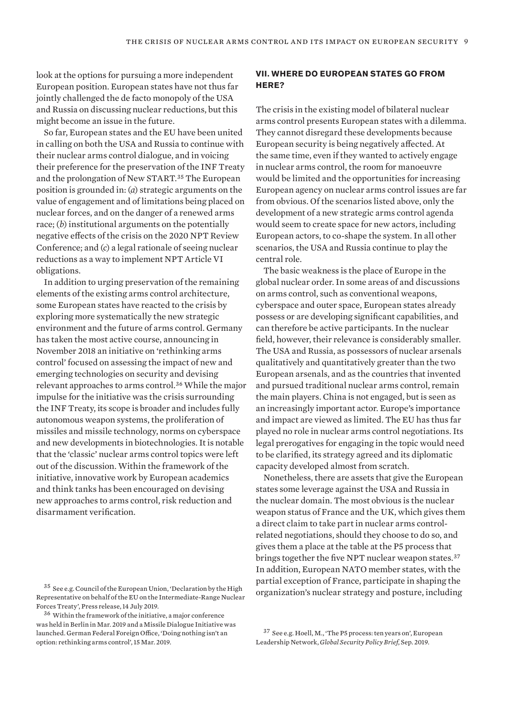look at the options for pursuing a more independent European position. European states have not thus far jointly challenged the de facto monopoly of the USA and Russia on discussing nuclear reductions, but this might become an issue in the future.

So far, European states and the EU have been united in calling on both the USA and Russia to continue with their nuclear arms control dialogue, and in voicing their preference for the preservation of the INF Treaty and the prolongation of New START.<sup>35</sup> The European position is grounded in: (*a*) strategic arguments on the value of engagement and of limitations being placed on nuclear forces, and on the danger of a renewed arms race; (*b*) institutional arguments on the potentially negative effects of the crisis on the 2020 NPT Review Conference; and (*c*) a legal rationale of seeing nuclear reductions as a way to implement NPT Article VI obligations.

In addition to urging preservation of the remaining elements of the existing arms control architecture, some European states have reacted to the crisis by exploring more systematically the new strategic environment and the future of arms control. Germany has taken the most active course, announcing in November 2018 an initiative on 'rethinking arms control' focused on assessing the impact of new and emerging technologies on security and devising relevant approaches to arms control.<sup>36</sup> While the major impulse for the initiative was the crisis surrounding the INF Treaty, its scope is broader and includes fully autonomous weapon systems, the proliferation of missiles and missile technology, norms on cyberspace and new developments in biotechnologies. It is notable that the 'classic' nuclear arms control topics were left out of the discussion. Within the framework of the initiative, innovative work by European academics and think tanks has been encouraged on devising new approaches to arms control, risk reduction and disarmament verification.

# **VII. WHERE DO EUROPEAN STATES GO FROM HERE?**

The crisis in the existing model of bilateral nuclear arms control presents European states with a dilemma. They cannot disregard these developments because European security is being negatively affected. At the same time, even if they wanted to actively engage in nuclear arms control, the room for manoeuvre would be limited and the opportunities for increasing European agency on nuclear arms control issues are far from obvious. Of the scenarios listed above, only the development of a new strategic arms control agenda would seem to create space for new actors, including European actors, to co-shape the system. In all other scenarios, the USA and Russia continue to play the central role.

The basic weakness is the place of Europe in the global nuclear order. In some areas of and discussions on arms control, such as conventional weapons, cyberspace and outer space, European states already possess or are developing significant capabilities, and can therefore be active participants. In the nuclear field, however, their relevance is considerably smaller. The USA and Russia, as possessors of nuclear arsenals qualitatively and quantitatively greater than the two European arsenals, and as the countries that invented and pursued traditional nuclear arms control, remain the main players. China is not engaged, but is seen as an increasingly important actor. Europe's importance and impact are viewed as limited. The EU has thus far played no role in nuclear arms control negotiations. Its legal prerogatives for engaging in the topic would need to be clarified, its strategy agreed and its diplomatic capacity developed almost from scratch.

Nonetheless, there are assets that give the European states some leverage against the USA and Russia in the nuclear domain. The most obvious is the nuclear weapon status of France and the UK, which gives them a direct claim to take part in nuclear arms controlrelated negotiations, should they choose to do so, and gives them a place at the table at the P5 process that brings together the five NPT nuclear weapon states.<sup>37</sup> In addition, European NATO member states, with the partial exception of France, participate in shaping the organization's nuclear strategy and posture, including

<sup>35</sup> See e.g. Council of the European Union, '[Declaration by the High](https://www.consilium.europa.eu/en/press/press-releases/2019/07/14/declaration-by-the-high-representative-on-behalf-of-the-european-union-on-the-intermediate-range-nuclear-forces-inf-treaty/)  [Representative on behalf of the EU on the Intermediate-Range Nuclear](https://www.consilium.europa.eu/en/press/press-releases/2019/07/14/declaration-by-the-high-representative-on-behalf-of-the-european-union-on-the-intermediate-range-nuclear-forces-inf-treaty/)  [Forces Treaty'](https://www.consilium.europa.eu/en/press/press-releases/2019/07/14/declaration-by-the-high-representative-on-behalf-of-the-european-union-on-the-intermediate-range-nuclear-forces-inf-treaty/), Press release, 14 July 2019.

 $\rm{^{36}}$  Within the framework of the initiative, a major conference was held in Berlin in Mar. 2019 and a Missile Dialogue Initiative was launched. German Federal Foreign Office, '[Doing nothing isn't an](https://www.auswaertiges-amt.de/en/aussenpolitik/themen/abruestung/uebersicht-konvalles-node/rethinking-arms-control/2199924)  [option: rethinking arms control](https://www.auswaertiges-amt.de/en/aussenpolitik/themen/abruestung/uebersicht-konvalles-node/rethinking-arms-control/2199924)', 15 Mar. 2019.

<sup>37</sup> See e.g. Hoell, M., ['The P5 process: ten years on'](https://www.europeanleadershipnetwork.org/wp-content/uploads/2019/09/190925-P5-Process-Max-Hoell-1.pdf), European Leadership Network, *Global Security Policy Brief*, Sep. 2019.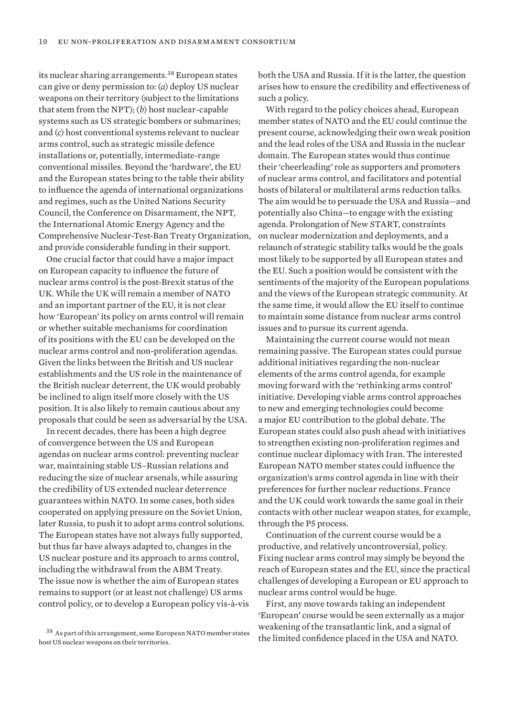its nuclear sharing arrangements.<sup>38</sup> European states can give or deny permission to: (*a*) deploy US nuclear weapons on their territory (subject to the limitations that stem from the NPT); (*b*) host nuclear-capable systems such as US strategic bombers or submarines; and (*c*) host conventional systems relevant to nuclear arms control, such as strategic missile defence installations or, potentially, intermediate-range conventional missiles. Beyond the 'hardware', the EU and the European states bring to the table their ability to influence the agenda of international organizations and regimes, such as the United Nations Security Council, the Conference on Disarmament, the NPT, the International Atomic Energy Agency and the Comprehensive Nuclear-Test-Ban Treaty Organization, and provide considerable funding in their support.

One crucial factor that could have a major impact on European capacity to influence the future of nuclear arms control is the post-Brexit status of the UK. While the UK will remain a member of NATO and an important partner of the EU, it is not clear how 'European' its policy on arms control will remain or whether suitable mechanisms for coordination of its positions with the EU can be developed on the nuclear arms control and non-proliferation agendas. Given the links between the British and US nuclear establishments and the US role in the maintenance of the British nuclear deterrent, the UK would probably be inclined to align itself more closely with the US position. It is also likely to remain cautious about any proposals that could be seen as adversarial by the USA.

In recent decades, there has been a high degree of convergence between the US and European agendas on nuclear arms control: preventing nuclear war, maintaining stable US–Russian relations and reducing the size of nuclear arsenals, while assuring the credibility of US extended nuclear deterrence guarantees within NATO. In some cases, both sides cooperated on applying pressure on the Soviet Union, later Russia, to push it to adopt arms control solutions. The European states have not always fully supported, but thus far have always adapted to, changes in the US nuclear posture and its approach to arms control, including the withdrawal from the ABM Treaty. The issue now is whether the aim of European states remains to support (or at least not challenge) US arms control policy, or to develop a European policy vis-à-vis both the USA and Russia. If it is the latter, the question arises how to ensure the credibility and effectiveness of such a policy.

With regard to the policy choices ahead, European member states of NATO and the EU could continue the present course, acknowledging their own weak position and the lead roles of the USA and Russia in the nuclear domain. The European states would thus continue their 'cheerleading' role as supporters and promoters of nuclear arms control, and facilitators and potential hosts of bilateral or multilateral arms reduction talks. The aim would be to persuade the USA and Russia—and potentially also China—to engage with the existing agenda. Prolongation of New START, constraints on nuclear modernization and deployments, and a relaunch of strategic stability talks would be the goals most likely to be supported by all European states and the EU. Such a position would be consistent with the sentiments of the majority of the European populations and the views of the European strategic community. At the same time, it would allow the EU itself to continue to maintain some distance from nuclear arms control issues and to pursue its current agenda.

Maintaining the current course would not mean remaining passive. The European states could pursue additional initiatives regarding the non-nuclear elements of the arms control agenda, for example moving forward with the 'rethinking arms control' initiative. Developing viable arms control approaches to new and emerging technologies could become a major EU contribution to the global debate. The European states could also push ahead with initiatives to strengthen existing non-proliferation regimes and continue nuclear diplomacy with Iran. The interested European NATO member states could influence the organization's arms control agenda in line with their preferences for further nuclear reductions. France and the UK could work towards the same goal in their contacts with other nuclear weapon states, for example, through the P5 process.

Continuation of the current course would be a productive, and relatively uncontroversial, policy. Fixing nuclear arms control may simply be beyond the reach of European states and the EU, since the practical challenges of developing a European or EU approach to nuclear arms control would be huge.

First, any move towards taking an independent 'European' course would be seen externally as a major weakening of the transatlantic link, and a signal of the limited confidence placed in the USA and NATO.

<sup>38</sup> As part of this arrangement, some European NATO member states host US nuclear weapons on their territories.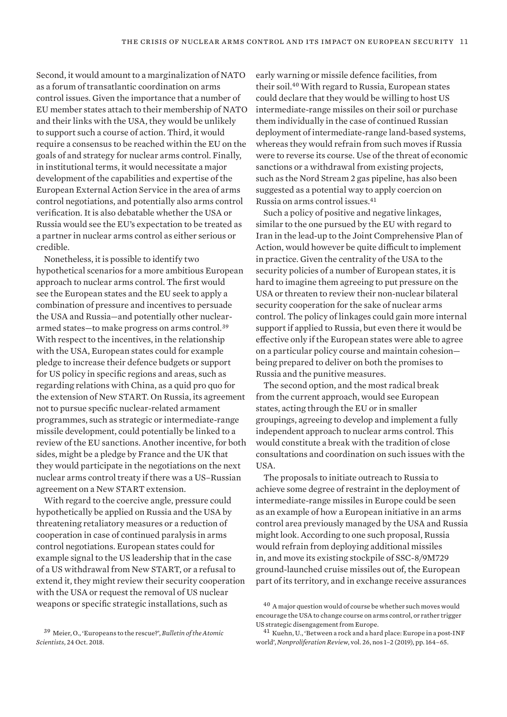Second, it would amount to a marginalization of NATO as a forum of transatlantic coordination on arms control issues. Given the importance that a number of EU member states attach to their membership of NATO and their links with the USA, they would be unlikely to support such a course of action. Third, it would require a consensus to be reached within the EU on the goals of and strategy for nuclear arms control. Finally, in institutional terms, it would necessitate a major development of the capabilities and expertise of the European External Action Service in the area of arms control negotiations, and potentially also arms control verification. It is also debatable whether the USA or Russia would see the EU's expectation to be treated as a partner in nuclear arms control as either serious or credible.

Nonetheless, it is possible to identify two hypothetical scenarios for a more ambitious European approach to nuclear arms control. The first would see the European states and the EU seek to apply a combination of pressure and incentives to persuade the USA and Russia—and potentially other nucleararmed states—to make progress on arms control.<sup>39</sup> With respect to the incentives, in the relationship with the USA, European states could for example pledge to increase their defence budgets or support for US policy in specific regions and areas, such as regarding relations with China, as a quid pro quo for the extension of New START. On Russia, its agreement not to pursue specific nuclear-related armament programmes, such as strategic or intermediate-range missile development, could potentially be linked to a review of the EU sanctions. Another incentive, for both sides, might be a pledge by France and the UK that they would participate in the negotiations on the next nuclear arms control treaty if there was a US–Russian agreement on a New START extension.

With regard to the coercive angle, pressure could hypothetically be applied on Russia and the USA by threatening retaliatory measures or a reduction of cooperation in case of continued paralysis in arms control negotiations. European states could for example signal to the US leadership that in the case of a US withdrawal from New START, or a refusal to extend it, they might review their security cooperation with the USA or request the removal of US nuclear weapons or specific strategic installations, such as

early warning or missile defence facilities, from their soil.<sup>40</sup> With regard to Russia, European states could declare that they would be willing to host US intermediate-range missiles on their soil or purchase them individually in the case of continued Russian deployment of intermediate-range land-based systems, whereas they would refrain from such moves if Russia were to reverse its course. Use of the threat of economic sanctions or a withdrawal from existing projects, such as the Nord Stream 2 gas pipeline, has also been suggested as a potential way to apply coercion on Russia on arms control issues.<sup>41</sup>

Such a policy of positive and negative linkages, similar to the one pursued by the EU with regard to Iran in the lead-up to the Joint Comprehensive Plan of Action, would however be quite difficult to implement in practice. Given the centrality of the USA to the security policies of a number of European states, it is hard to imagine them agreeing to put pressure on the USA or threaten to review their non-nuclear bilateral security cooperation for the sake of nuclear arms control. The policy of linkages could gain more internal support if applied to Russia, but even there it would be effective only if the European states were able to agree on a particular policy course and maintain cohesion being prepared to deliver on both the promises to Russia and the punitive measures.

The second option, and the most radical break from the current approach, would see European states, acting through the EU or in smaller groupings, agreeing to develop and implement a fully independent approach to nuclear arms control. This would constitute a break with the tradition of close consultations and coordination on such issues with the USA.

The proposals to initiate outreach to Russia to achieve some degree of restraint in the deployment of intermediate-range missiles in Europe could be seen as an example of how a European initiative in an arms control area previously managed by the USA and Russia might look. According to one such proposal, Russia would refrain from deploying additional missiles in, and move its existing stockpile of SSC-8/9M729 ground-launched cruise missiles out of, the European part of its territory, and in exchange receive assurances

<sup>39</sup> Meier, O., '[Europeans to the rescue?'](https://thebulletin.org/2018/10/europeans-to-the-rescue/#), *Bulletin of the Atomic Scientists*, 24 Oct. 2018.

<sup>40</sup> A major question would of course be whether such moves would encourage the USA to change course on arms control, or rather trigger US strategic disengagement from Europe.

<sup>41</sup> Kuehn, U., 'Between a rock and a hard place: Europe in a post-INF world', *Nonproliferation Review*, vol. 26, nos 1–2 (2019), pp. 164–65.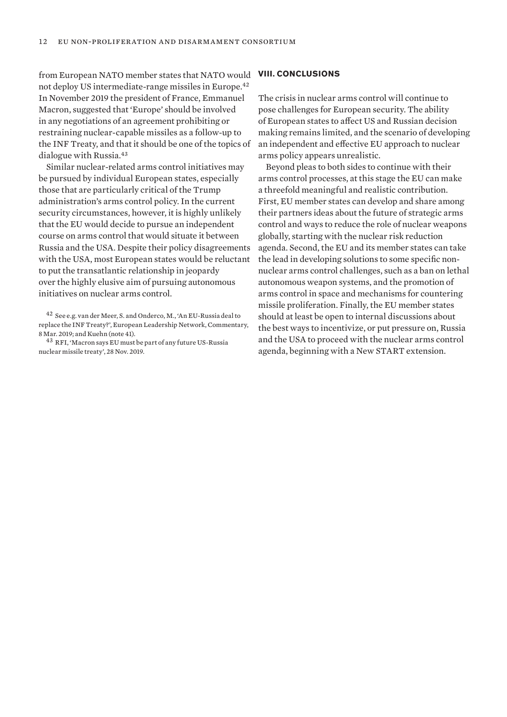from European NATO member states that NATO would not deploy US intermediate-range missiles in Europe.<sup>42</sup> In November 2019 the president of France, Emmanuel Macron, suggested that 'Europe' should be involved in any negotiations of an agreement prohibiting or restraining nuclear-capable missiles as a follow-up to the INF Treaty, and that it should be one of the topics of dialogue with Russia.<sup>43</sup>

Similar nuclear-related arms control initiatives may be pursued by individual European states, especially those that are particularly critical of the Trump administration's arms control policy. In the current security circumstances, however, it is highly unlikely that the EU would decide to pursue an independent course on arms control that would situate it between Russia and the USA. Despite their policy disagreements with the USA, most European states would be reluctant to put the transatlantic relationship in jeopardy over the highly elusive aim of pursuing autonomous initiatives on nuclear arms control.

#### **VIII. CONCLUSIONS**

The crisis in nuclear arms control will continue to pose challenges for European security. The ability of European states to affect US and Russian decision making remains limited, and the scenario of developing an independent and effective EU approach to nuclear arms policy appears unrealistic.

Beyond pleas to both sides to continue with their arms control processes, at this stage the EU can make a threefold meaningful and realistic contribution. First, EU member states can develop and share among their partners ideas about the future of strategic arms control and ways to reduce the role of nuclear weapons globally, starting with the nuclear risk reduction agenda. Second, the EU and its member states can take the lead in developing solutions to some specific nonnuclear arms control challenges, such as a ban on lethal autonomous weapon systems, and the promotion of arms control in space and mechanisms for countering missile proliferation. Finally, the EU member states should at least be open to internal discussions about the best ways to incentivize, or put pressure on, Russia and the USA to proceed with the nuclear arms control agenda, beginning with a New START extension.

<sup>42</sup> See e.g. van der Meer, S. and Onderco, M., ['An EU-Russia deal to](https://www.europeanleadershipnetwork.org/commentary/an-eu-russia-deal-to-replace-the-inf-treaty/)  [replace the INF Treaty?](https://www.europeanleadershipnetwork.org/commentary/an-eu-russia-deal-to-replace-the-inf-treaty/)', European Leadership Network, Commentary, 8 Mar. 2019; and Kuehn (note 41).

<sup>43</sup> RFI, '[Macron says EU must be part of any future US-Russia](http://www.rfi.fr/en/international/20191128-macron-says-eu-must-be-part-any-future-us-russia-nuclear-missile-treaty)  [nuclear missile treat](http://www.rfi.fr/en/international/20191128-macron-says-eu-must-be-part-any-future-us-russia-nuclear-missile-treaty)y', 28 Nov. 2019.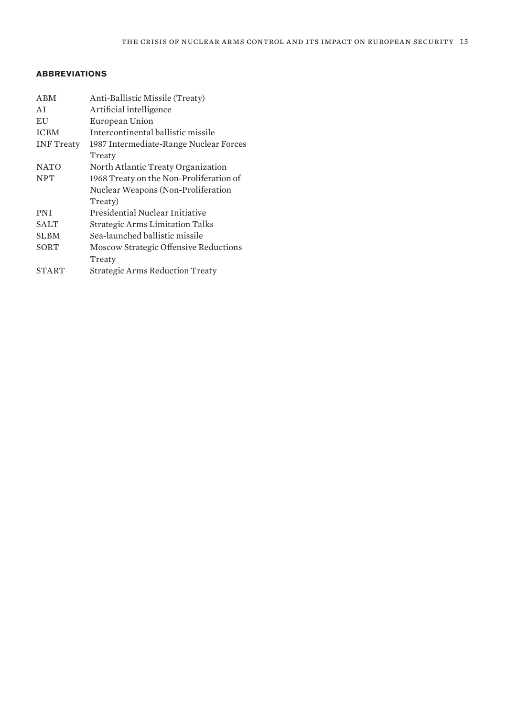# **ABBREVIATIONS**

| <b>ABM</b>        | Anti-Ballistic Missile (Treaty)         |
|-------------------|-----------------------------------------|
| AI                | Artificial intelligence                 |
| EU                | European Union                          |
| <b>ICBM</b>       | Intercontinental ballistic missile      |
| <b>INF</b> Treaty | 1987 Intermediate-Range Nuclear Forces  |
|                   | Treaty                                  |
| <b>NATO</b>       | North Atlantic Treaty Organization      |
| <b>NPT</b>        | 1968 Treaty on the Non-Proliferation of |
|                   | Nuclear Weapons (Non-Proliferation      |
|                   | Treaty)                                 |
| <b>PNI</b>        | Presidential Nuclear Initiative         |
| <b>SALT</b>       | <b>Strategic Arms Limitation Talks</b>  |
| <b>SLBM</b>       | Sea-launched ballistic missile          |
| SORT              | Moscow Strategic Offensive Reductions   |
|                   | Treaty                                  |
| <b>START</b>      | <b>Strategic Arms Reduction Treaty</b>  |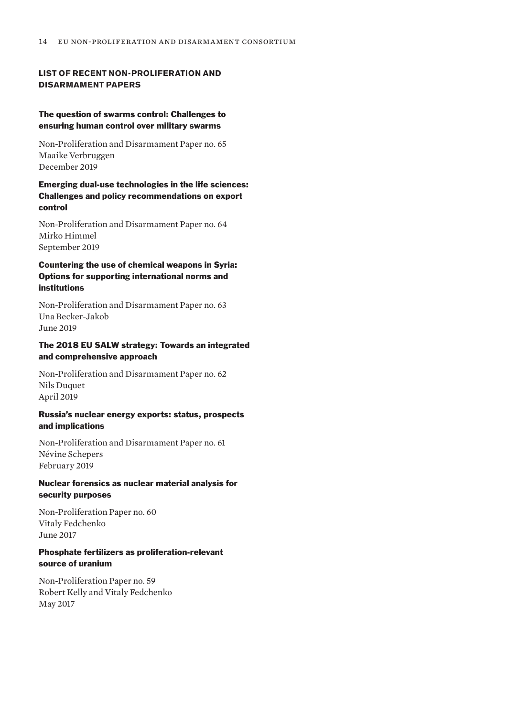# **LIST OF RECENT NON-PROLIFERATION AND DISARMAMENT PAPERS**

## The question of swarms control: Challenges to ensuring human control over military swarms

Non-Proliferation and Disarmament Paper no. 65 Maaike Verbruggen December 2019

# Emerging dual-use technologies in the life sciences: Challenges and policy recommendations on export control

Non-Proliferation and Disarmament Paper no. 64 Mirko Himmel September 2019

# Countering the use of chemical weapons in Syria: Options for supporting international norms and institutions

Non-Proliferation and Disarmament Paper no. 63 Una Becker-Jakob June 2019

# The 2018 EU SALW strategy: Towards an integrated and comprehensive approach

Non-Proliferation and Disarmament Paper no. 62 Nils Duquet April 2019

# Russia's nuclear energy exports: status, prospects and implications

Non-Proliferation and Disarmament Paper no. 61 Névine Schepers February 2019

# Nuclear forensics as nuclear material analysis for security purposes

Non-Proliferation Paper no. 60 Vitaly Fedchenko June 2017

# Phosphate fertilizers as proliferation-relevant source of uranium

Non-Proliferation Paper no. 59 Robert Kelly and Vitaly Fedchenko May 2017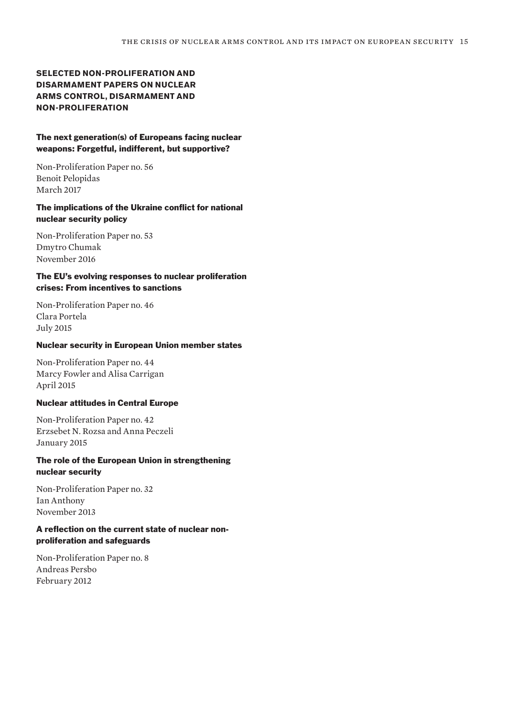# **SELECTED NON-PROLIFERATION AND DISARMAMENT PAPERS ON NUCLEAR ARMS CONTROL, DISARMAMENT AND NON-PROLIFERATION**

## The next generation(s) of Europeans facing nuclear weapons: Forgetful, indifferent, but supportive?

Non-Proliferation Paper no. 56 Benoit Pelopidas March 2017

# The implications of the Ukraine conflict for national nuclear security policy

Non-Proliferation Paper no. 53 Dmytro Chumak November 2016

# The EU's evolving responses to nuclear proliferation crises: From incentives to sanctions

Non-Proliferation Paper no. 46 Clara Portela July 2015

## Nuclear security in European Union member states

Non-Proliferation Paper no. 44 Marcy Fowler and Alisa Carrigan April 2015

## Nuclear attitudes in Central Europe

Non-Proliferation Paper no. 42 Erzsebet N. Rozsa and Anna Peczeli January 2015

# The role of the European Union in strengthening nuclear security

Non-Proliferation Paper no. 32 Ian Anthony November 2013

# A reflection on the current state of nuclear nonproliferation and safeguards

Non-Proliferation Paper no. 8 Andreas Persbo February 2012